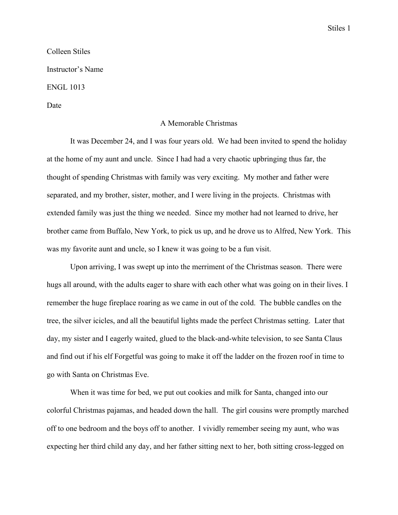Colleen Stiles Instructor's Name ENGL 1013

Date

## A Memorable Christmas

It was December 24, and I was four years old. We had been invited to spend the holiday at the home of my aunt and uncle. Since I had had a very chaotic upbringing thus far, the thought of spending Christmas with family was very exciting. My mother and father were separated, and my brother, sister, mother, and I were living in the projects. Christmas with extended family was just the thing we needed. Since my mother had not learned to drive, her brother came from Buffalo, New York, to pick us up, and he drove us to Alfred, New York. This was my favorite aunt and uncle, so I knew it was going to be a fun visit.

Upon arriving, I was swept up into the merriment of the Christmas season. There were hugs all around, with the adults eager to share with each other what was going on in their lives. I remember the huge fireplace roaring as we came in out of the cold. The bubble candles on the tree, the silver icicles, and all the beautiful lights made the perfect Christmas setting. Later that day, my sister and I eagerly waited, glued to the black-and-white television, to see Santa Claus and find out if his elf Forgetful was going to make it off the ladder on the frozen roof in time to go with Santa on Christmas Eve.

When it was time for bed, we put out cookies and milk for Santa, changed into our colorful Christmas pajamas, and headed down the hall. The girl cousins were promptly marched off to one bedroom and the boys off to another. I vividly remember seeing my aunt, who was expecting her third child any day, and her father sitting next to her, both sitting cross-legged on